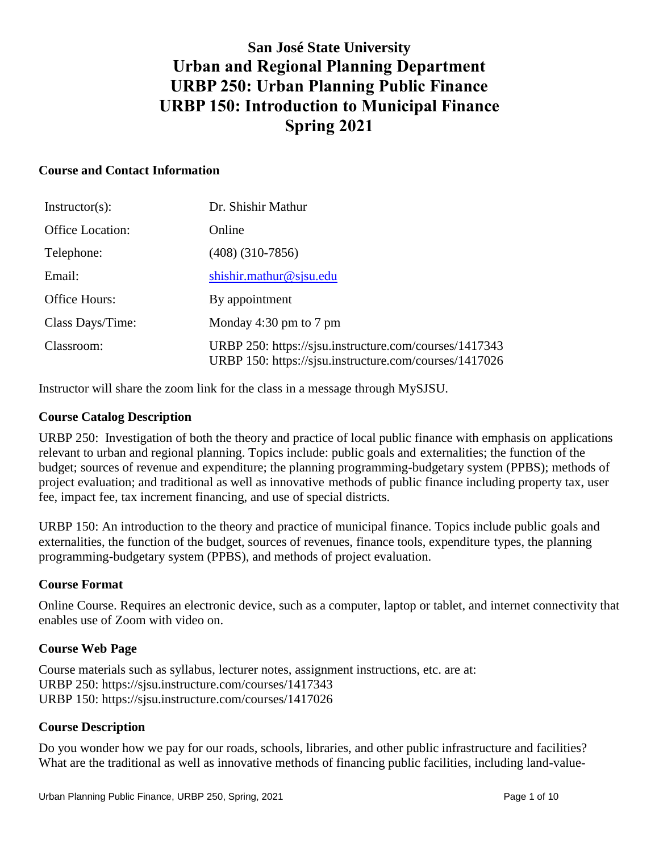# **San José State University Urban and Regional Planning Department URBP 250: Urban Planning Public Finance URBP 150: Introduction to Municipal Finance Spring 2021**

#### **Course and Contact Information**

| $Instructor(s)$ :       | Dr. Shishir Mathur                                                                                               |
|-------------------------|------------------------------------------------------------------------------------------------------------------|
| <b>Office Location:</b> | Online                                                                                                           |
| Telephone:              | $(408)$ $(310-7856)$                                                                                             |
| Email:                  | shishir.mathur@sjsu.edu                                                                                          |
| Office Hours:           | By appointment                                                                                                   |
| Class Days/Time:        | Monday 4:30 pm to 7 pm                                                                                           |
| Classroom:              | URBP 250: https://sisu.instructure.com/courses/1417343<br>URBP 150: https://sjsu.instructure.com/courses/1417026 |

Instructor will share the zoom link for the class in a message through MySJSU.

#### **Course Catalog Description**

URBP 250: Investigation of both the theory and practice of local public finance with emphasis on applications relevant to urban and regional planning. Topics include: public goals and externalities; the function of the budget; sources of revenue and expenditure; the planning programming-budgetary system (PPBS); methods of project evaluation; and traditional as well as innovative methods of public finance including property tax, user fee, impact fee, tax increment financing, and use of special districts.

URBP 150: An introduction to the theory and practice of municipal finance. Topics include public goals and externalities, the function of the budget, sources of revenues, finance tools, expenditure types, the planning programming-budgetary system (PPBS), and methods of project evaluation.

#### **Course Format**

Online Course. Requires an electronic device, such as a computer, laptop or tablet, and internet connectivity that enables use of Zoom with video on.

#### **Course Web Page**

Course materials such as syllabus, lecturer notes, assignment instructions, etc. are at: URBP 250: https://sjsu.instructure.com/courses/1417343 URBP 150: https://sjsu.instructure.com/courses/1417026

#### **Course Description**

Do you wonder how we pay for our roads, schools, libraries, and other public infrastructure and facilities? What are the traditional as well as innovative methods of financing public facilities, including land-value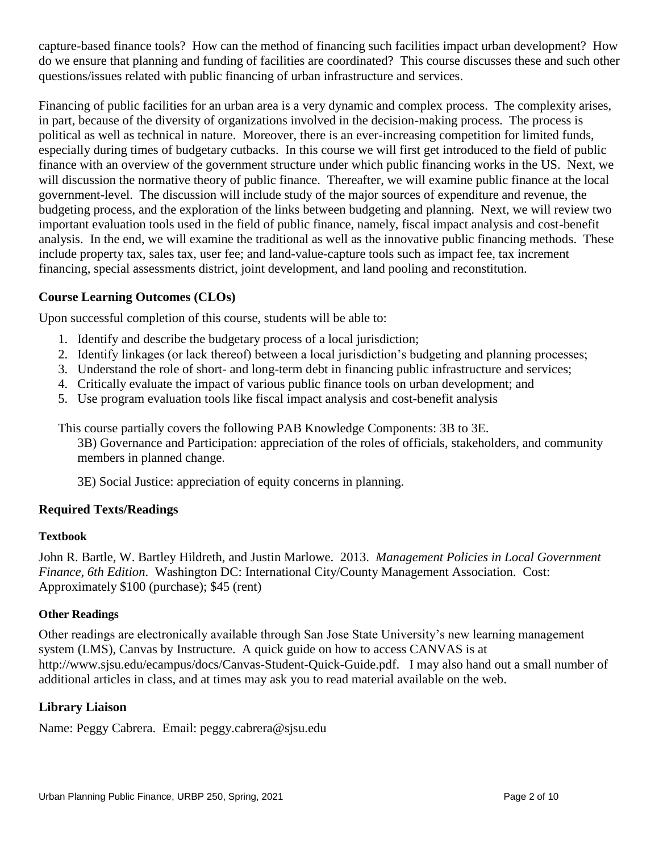capture-based finance tools? How can the method of financing such facilities impact urban development? How do we ensure that planning and funding of facilities are coordinated? This course discusses these and such other questions/issues related with public financing of urban infrastructure and services.

Financing of public facilities for an urban area is a very dynamic and complex process. The complexity arises, in part, because of the diversity of organizations involved in the decision-making process. The process is political as well as technical in nature. Moreover, there is an ever-increasing competition for limited funds, especially during times of budgetary cutbacks. In this course we will first get introduced to the field of public finance with an overview of the government structure under which public financing works in the US. Next, we will discussion the normative theory of public finance. Thereafter, we will examine public finance at the local government-level. The discussion will include study of the major sources of expenditure and revenue, the budgeting process, and the exploration of the links between budgeting and planning. Next, we will review two important evaluation tools used in the field of public finance, namely, fiscal impact analysis and cost-benefit analysis. In the end, we will examine the traditional as well as the innovative public financing methods. These include property tax, sales tax, user fee; and land-value-capture tools such as impact fee, tax increment financing, special assessments district, joint development, and land pooling and reconstitution.

## **Course Learning Outcomes (CLOs)**

Upon successful completion of this course, students will be able to:

- 1. Identify and describe the budgetary process of a local jurisdiction;
- 2. Identify linkages (or lack thereof) between a local jurisdiction's budgeting and planning processes;
- 3. Understand the role of short- and long-term debt in financing public infrastructure and services;
- 4. Critically evaluate the impact of various public finance tools on urban development; and
- 5. Use program evaluation tools like fiscal impact analysis and cost-benefit analysis

This course partially covers the following PAB Knowledge Components: 3B to 3E.

3B) Governance and Participation: appreciation of the roles of officials, stakeholders, and community members in planned change.

3E) Social Justice: appreciation of equity concerns in planning.

#### **Required Texts/Readings**

#### **Textbook**

John R. Bartle, W. Bartley Hildreth, and Justin Marlowe. 2013. *Management Policies in Local Government Finance, 6th Edition*. Washington DC: International City/County Management Association. Cost: Approximately \$100 (purchase); \$45 (rent)

#### **Other Readings**

Other readings are electronically available through San Jose State University's new learning management system (LMS), Canvas by Instructure. A quick guide on how to access CANVAS is at http://www.sjsu.edu/ecampus/docs/Canvas-Student-Quick-Guide.pdf. I may also hand out a small number of additional articles in class, and at times may ask you to read material available on the web.

#### **Library Liaison**

Name: [Peggy Cabrera. Email: peggy.cabrera@sjsu.edu](mailto:Peggy%20Cabrera.%20%20Email:%20peggy.cabrera@sjsu.edu)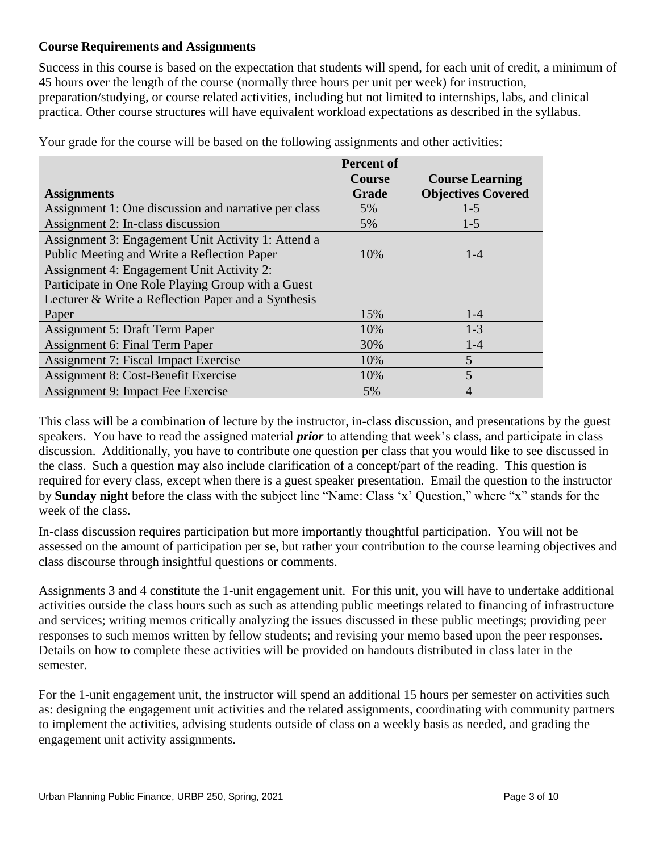# **Course Requirements and Assignments**

Success in this course is based on the expectation that students will spend, for each unit of credit, a minimum of 45 hours over the length of the course (normally three hours per unit per week) for instruction, preparation/studying, or course related activities, including but not limited to internships, labs, and clinical practica. Other course structures will have equivalent workload expectations as described in the syllabus.

|                                                      | <b>Percent of</b> |                           |
|------------------------------------------------------|-------------------|---------------------------|
|                                                      | <b>Course</b>     | <b>Course Learning</b>    |
| <b>Assignments</b>                                   | Grade             | <b>Objectives Covered</b> |
| Assignment 1: One discussion and narrative per class | 5%                | $1 - 5$                   |
| Assignment 2: In-class discussion                    | 5%                | $1-5$                     |
| Assignment 3: Engagement Unit Activity 1: Attend a   |                   |                           |
| Public Meeting and Write a Reflection Paper          | 10%               | $1 - 4$                   |
| Assignment 4: Engagement Unit Activity 2:            |                   |                           |
| Participate in One Role Playing Group with a Guest   |                   |                           |
| Lecturer & Write a Reflection Paper and a Synthesis  |                   |                           |
| Paper                                                | 15%               | $1 - 4$                   |
| <b>Assignment 5: Draft Term Paper</b>                | 10%               | $1 - 3$                   |
| Assignment 6: Final Term Paper                       | 30%               | $1-4$                     |
| Assignment 7: Fiscal Impact Exercise                 | 10%               | 5                         |
| Assignment 8: Cost-Benefit Exercise                  | 10%               | 5                         |
| Assignment 9: Impact Fee Exercise                    | 5%                | 4                         |

Your grade for the course will be based on the following assignments and other activities:

This class will be a combination of lecture by the instructor, in-class discussion, and presentations by the guest speakers. You have to read the assigned material *prior* to attending that week's class, and participate in class discussion. Additionally, you have to contribute one question per class that you would like to see discussed in the class. Such a question may also include clarification of a concept/part of the reading. This question is required for every class, except when there is a guest speaker presentation. Email the question to the instructor by **Sunday night** before the class with the subject line "Name: Class 'x' Question," where "x" stands for the week of the class.

In-class discussion requires participation but more importantly thoughtful participation. You will not be assessed on the amount of participation per se, but rather your contribution to the course learning objectives and class discourse through insightful questions or comments.

Assignments 3 and 4 constitute the 1-unit engagement unit. For this unit, you will have to undertake additional activities outside the class hours such as such as attending public meetings related to financing of infrastructure and services; writing memos critically analyzing the issues discussed in these public meetings; providing peer responses to such memos written by fellow students; and revising your memo based upon the peer responses. Details on how to complete these activities will be provided on handouts distributed in class later in the semester.

For the 1-unit engagement unit, the instructor will spend an additional 15 hours per semester on activities such as: designing the engagement unit activities and the related assignments, coordinating with community partners to implement the activities, advising students outside of class on a weekly basis as needed, and grading the engagement unit activity assignments.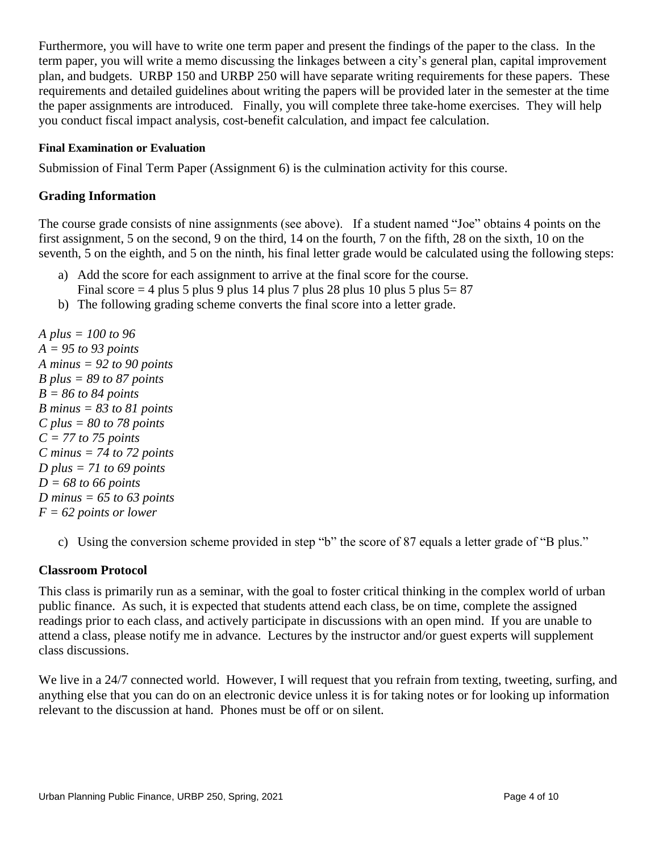Furthermore, you will have to write one term paper and present the findings of the paper to the class. In the term paper, you will write a memo discussing the linkages between a city's general plan, capital improvement plan, and budgets. URBP 150 and URBP 250 will have separate writing requirements for these papers. These requirements and detailed guidelines about writing the papers will be provided later in the semester at the time the paper assignments are introduced. Finally, you will complete three take-home exercises. They will help you conduct fiscal impact analysis, cost-benefit calculation, and impact fee calculation.

#### **Final Examination or Evaluation**

Submission of Final Term Paper (Assignment 6) is the culmination activity for this course.

# **Grading Information**

The course grade consists of nine assignments (see above). If a student named "Joe" obtains 4 points on the first assignment, 5 on the second, 9 on the third, 14 on the fourth, 7 on the fifth, 28 on the sixth, 10 on the seventh, 5 on the eighth, and 5 on the ninth, his final letter grade would be calculated using the following steps:

- a) Add the score for each assignment to arrive at the final score for the course.
- Final score  $= 4$  plus 5 plus 9 plus 14 plus 7 plus 28 plus 10 plus 5 plus 5 = 87
- b) The following grading scheme converts the final score into a letter grade.

*A plus = 100 to 96 A = 95 to 93 points A minus = 92 to 90 points B plus = 89 to 87 points B = 86 to 84 points B minus = 83 to 81 points C plus = 80 to 78 points C = 77 to 75 points C minus = 74 to 72 points D plus = 71 to 69 points D = 68 to 66 points D minus = 65 to 63 points F = 62 points or lower*

c) Using the conversion scheme provided in step "b" the score of 87 equals a letter grade of "B plus."

#### **Classroom Protocol**

This class is primarily run as a seminar, with the goal to foster critical thinking in the complex world of urban public finance. As such, it is expected that students attend each class, be on time, complete the assigned readings prior to each class, and actively participate in discussions with an open mind. If you are unable to attend a class, please notify me in advance. Lectures by the instructor and/or guest experts will supplement class discussions.

We live in a 24/7 connected world. However, I will request that you refrain from texting, tweeting, surfing, and anything else that you can do on an electronic device unless it is for taking notes or for looking up information relevant to the discussion at hand. Phones must be off or on silent.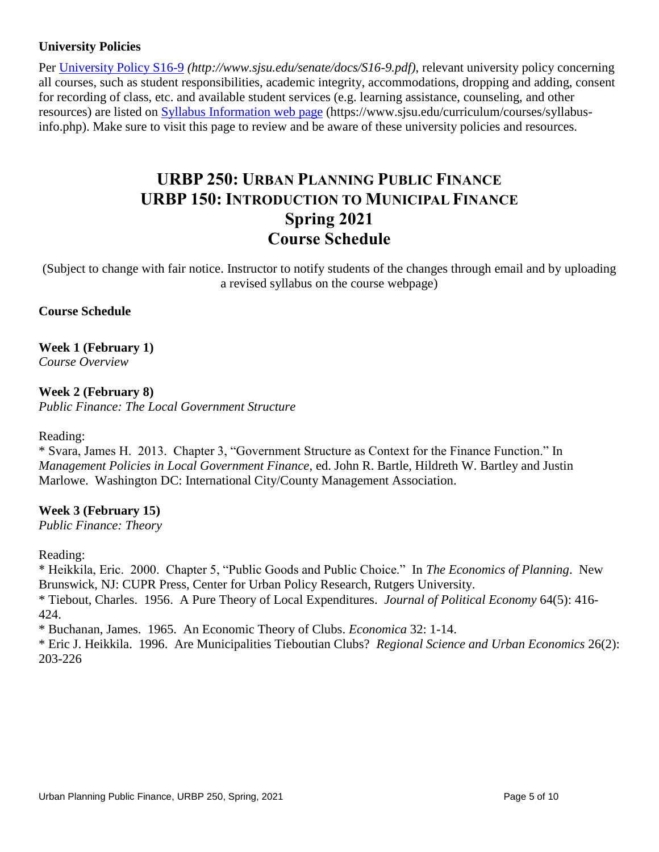# **University Policies**

Per [University Policy S16-9](http://www.sjsu.edu/senate/docs/S16-9.pdf) *(http://www.sjsu.edu/senate/docs/S16-9.pdf)*, relevant university policy concerning all courses, such as student responsibilities, academic integrity, accommodations, dropping and adding, consent for recording of class, etc. and available student services (e.g. learning assistance, counseling, and other resources) are listed on [Syllabus Information](https://www.sjsu.edu/curriculum/courses/syllabus-info.php) web page (https://www.sjsu.edu/curriculum/courses/syllabusinfo.php). Make sure to visit this page to review and be aware of these university policies and resources.

# **URBP 250: URBAN PLANNING PUBLIC FINANCE URBP 150: INTRODUCTION TO MUNICIPAL FINANCE Spring 2021 Course Schedule**

(Subject to change with fair notice. Instructor to notify students of the changes through email and by uploading a revised syllabus on the course webpage)

## **Course Schedule**

**Week 1 (February 1)** *Course Overview* 

**Week 2 (February 8)** *Public Finance: The Local Government Structure*

#### Reading:

\* Svara, James H. 2013. Chapter 3, "Government Structure as Context for the Finance Function." In *Management Policies in Local Government Finance*, ed. John R. Bartle, Hildreth W. Bartley and Justin Marlowe. Washington DC: International City/County Management Association.

#### **Week 3 (February 15)**

*Public Finance: Theory*

Reading:

\* Heikkila, Eric. 2000. Chapter 5, "Public Goods and Public Choice." In *The Economics of Planning*. New Brunswick, NJ: CUPR Press, Center for Urban Policy Research, Rutgers University.

\* Tiebout, Charles. 1956. A Pure Theory of Local Expenditures. *Journal of Political Economy* 64(5): 416- 424.

\* Buchanan, James. 1965. An Economic Theory of Clubs. *Economica* 32: 1-14.

\* Eric J. Heikkila. 1996. Are Municipalities Tieboutian Clubs? *[Regional Science and Urban Economics](http://econpapers.repec.org/article/eeeregeco/)* 26(2): 203-226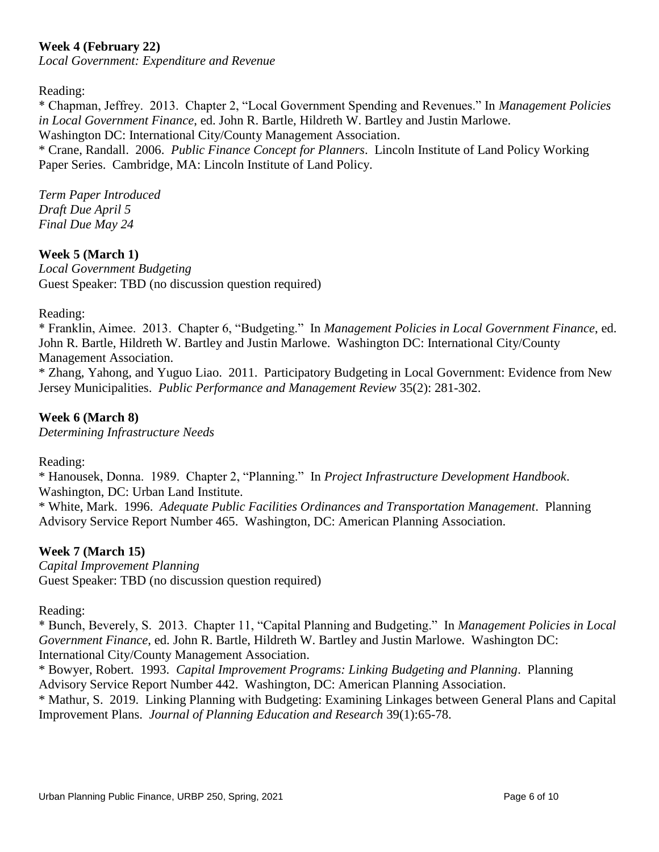# **Week 4 (February 22)**

*Local Government: Expenditure and Revenue*

Reading:

\* Chapman, Jeffrey. 2013. Chapter 2, "Local Government Spending and Revenues." In *Management Policies in Local Government Finance*, ed. John R. Bartle, Hildreth W. Bartley and Justin Marlowe. Washington DC: International City/County Management Association.

\* Crane, Randall. 2006. *Public Finance Concept for Planners*. Lincoln Institute of Land Policy Working Paper Series. Cambridge, MA: Lincoln Institute of Land Policy.

*Term Paper Introduced Draft Due April 5 Final Due May 24*

## **Week 5 (March 1)**

*Local Government Budgeting* Guest Speaker: TBD (no discussion question required)

Reading:

\* Franklin, Aimee. 2013. Chapter 6, "Budgeting." In *Management Policies in Local Government Finance*, ed. John R. Bartle, Hildreth W. Bartley and Justin Marlowe. Washington DC: International City/County Management Association.

\* Zhang, Yahong, and Yuguo Liao. 2011. Participatory Budgeting in Local Government: Evidence from New Jersey Municipalities. *[Public Performance and Management Review](javascript:__doLinkPostBack()* 35(2): 281-302.

## **Week 6 (March 8)**

*Determining Infrastructure Needs*

Reading:

\* [Hanousek,](http://www.amazon.com/s/ref=ntt_athr_dp_sr_1?_encoding=UTF8&field-author=Donna%20Hanousek&ie=UTF8&search-alias=books&sort=relevancerank) Donna. 1989. Chapter 2, "Planning." In *Project Infrastructure Development Handbook*. Washington, DC: Urban Land Institute.

\* White, Mark. 1996. *Adequate Public Facilities Ordinances and Transportation Management*. Planning Advisory Service Report Number 465. Washington, DC: American Planning Association.

#### **Week 7 (March 15)**

*Capital Improvement Planning* Guest Speaker: TBD (no discussion question required)

Reading:

\* Bunch, Beverely, S. 2013. Chapter 11, "Capital Planning and Budgeting." In *Management Policies in Local Government Finance*, ed. John R. Bartle, Hildreth W. Bartley and Justin Marlowe. Washington DC: International City/County Management Association.

\* Bowyer, Robert. 1993. *Capital Improvement Programs: Linking Budgeting and Planning*. Planning Advisory Service Report Number 442. Washington, DC: American Planning Association.

\* Mathur, S. 2019. Linking Planning with Budgeting: Examining Linkages between General Plans and Capital Improvement Plans. *Journal of Planning Education and Research* 39(1):65-78.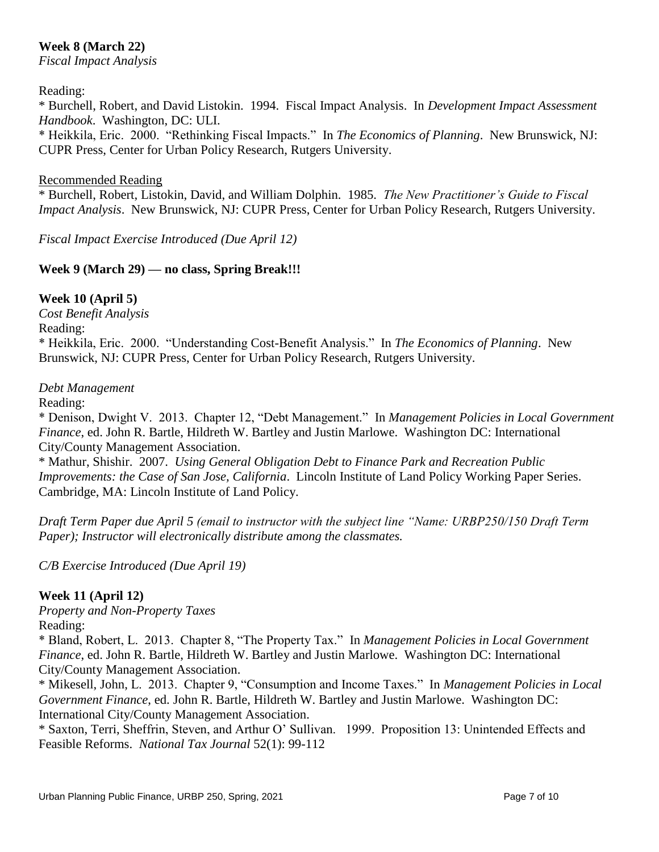# **Week 8 (March 22)**

*Fiscal Impact Analysis*

#### Reading:

\* Burchell, Robert, and David Listokin. 1994. Fiscal Impact Analysis. In *Development Impact Assessment Handbook*. Washington, DC: ULI.

\* Heikkila, Eric. 2000. "Rethinking Fiscal Impacts." In *The Economics of Planning*. New Brunswick, NJ: CUPR Press, Center for Urban Policy Research, Rutgers University.

#### Recommended Reading

\* Burchell, Robert, Listokin, David, and William Dolphin. 1985. *The New Practitioner's Guide to Fiscal Impact Analysis*. New Brunswick, NJ: CUPR Press, Center for Urban Policy Research, Rutgers University.

*Fiscal Impact Exercise Introduced (Due April 12)*

## **Week 9 (March 29) — no class, Spring Break!!!**

## **Week 10 (April 5)**

*Cost Benefit Analysis* Reading: \* Heikkila, Eric. 2000. "Understanding Cost-Benefit Analysis." In *The Economics of Planning*. New Brunswick, NJ: CUPR Press, Center for Urban Policy Research, Rutgers University.

#### *Debt Management*

Reading:

\* Denison, Dwight V. 2013. Chapter 12, "Debt Management." In *Management Policies in Local Government Finance*, ed. John R. Bartle, Hildreth W. Bartley and Justin Marlowe. Washington DC: International City/County Management Association.

\* Mathur, Shishir. 2007. *Using General Obligation Debt to Finance Park and Recreation Public Improvements: the Case of San Jose, California*. Lincoln Institute of Land Policy Working Paper Series. Cambridge, MA: Lincoln Institute of Land Policy.

*Draft Term Paper due April 5 (email to instructor with the subject line "Name: URBP250/150 Draft Term Paper*); *Instructor will electronically distribute among the classmates.* 

*C/B Exercise Introduced (Due April 19)*

#### **Week 11 (April 12)**

*Property and Non-Property Taxes*

Reading:

\* Bland, Robert, L. 2013. Chapter 8, "The Property Tax." In *Management Policies in Local Government Finance*, ed. John R. Bartle, Hildreth W. Bartley and Justin Marlowe. Washington DC: International City/County Management Association.

\* Mikesell, John, L. 2013. Chapter 9, "Consumption and Income Taxes." In *Management Policies in Local Government Finance*, ed. John R. Bartle, Hildreth W. Bartley and Justin Marlowe. Washington DC: International City/County Management Association.

\* Saxton, Terri, Sheffrin, Steven, and Arthur O' Sullivan. 1999. Proposition 13: Unintended Effects and Feasible Reforms. *National Tax Journal* 52(1): 99-112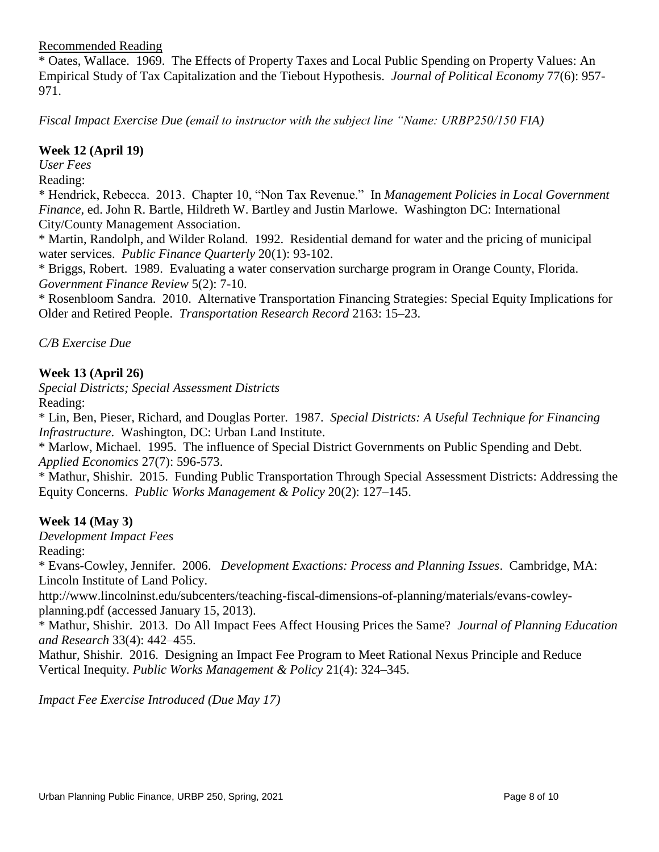Recommended Reading

\* Oates, Wallace. 1969. The Effects of Property Taxes and Local Public Spending on Property Values: An Empirical Study of Tax Capitalization and the Tiebout Hypothesis. *Journal of Political Economy* 77(6): 957- 971.

*Fiscal Impact Exercise Due (email to instructor with the subject line "Name: URBP250/150 FIA)*

#### **Week 12 (April 19)**

*User Fees*

Reading:

\* Hendrick, Rebecca. 2013. Chapter 10, "Non Tax Revenue." In *Management Policies in Local Government Finance*, ed. John R. Bartle, Hildreth W. Bartley and Justin Marlowe. Washington DC: International City/County Management Association.

\* Martin, Randolph, and Wilder Roland. 1992. Residential demand for water and the pricing of municipal water services. *Public Finance Quarterly* 20(1): 93-102.

\* Briggs, Robert. 1989. Evaluating a water conservation surcharge program in Orange County, Florida. *Government Finance Review* 5(2): 7-10.

\* Rosenbloom Sandra. 2010. Alternative Transportation Financing Strategies: Special Equity Implications for Older and Retired People. *Transportation Research Record* 2163: 15–23.

*C/B Exercise Due*

## **Week 13 (April 26)**

*Special Districts; Special Assessment Districts* Reading:

\* Lin, Ben, Pieser, Richard, and Douglas Porter. 1987. *Special Districts: A Useful Technique for Financing Infrastructure*. Washington, DC: Urban Land Institute.

\* Marlow, Michael. 1995. The influence of Special District Governments on Public Spending and Debt. *Applied Economics* 27(7): 596-573.

\* Mathur, Shishir. 2015. Funding Public Transportation Through Special Assessment Districts: Addressing the Equity Concerns. *Public Works Management & Policy* 20(2): 127–145.

# **Week 14 (May 3)**

*Development Impact Fees*

Reading:

\* Evans-Cowley, Jennifer. 2006. *Development Exactions: Process and Planning Issues*. Cambridge, MA: Lincoln Institute of Land Policy.

http://www.lincolninst.edu/subcenters/teaching-fiscal-dimensions-of-planning/materials/evans-cowleyplanning.pdf (accessed January 15, 2013).

\* Mathur, Shishir. 2013. Do All Impact Fees Affect Housing Prices the Same? *Journal of Planning Education and Research* 33(4): 442–455.

Mathur, Shishir. 2016. Designing an Impact Fee Program to Meet Rational Nexus Principle and Reduce Vertical Inequity. *Public Works Management & Policy* 21(4): 324–345.

*Impact Fee Exercise Introduced (Due May 17)*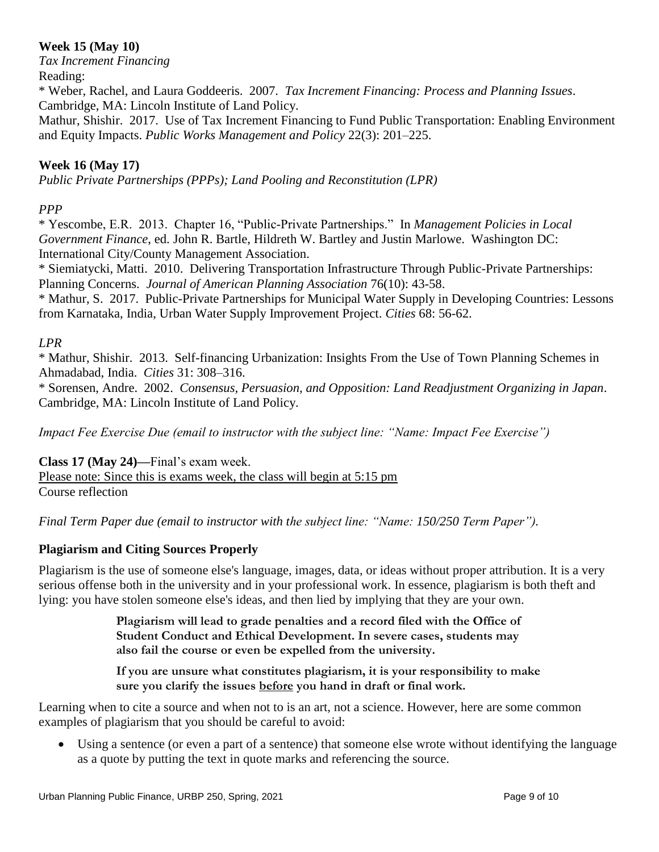# **Week 15 (May 10)**

*Tax Increment Financing* Reading:

\* Weber, Rachel, and Laura Goddeeris. 2007. *Tax Increment Financing: Process and Planning Issues*. Cambridge, MA: Lincoln Institute of Land Policy.

Mathur, Shishir. 2017. Use of Tax Increment Financing to Fund Public Transportation: Enabling Environment and Equity Impacts. *Public Works Management and Policy* 22(3): 201–225.

# **Week 16 (May 17)**

*Public Private Partnerships (PPPs); Land Pooling and Reconstitution (LPR)* 

# *PPP*

\* Yescombe, E.R. 2013. Chapter 16, "Public-Private Partnerships." In *Management Policies in Local Government Finance*, ed. John R. Bartle, Hildreth W. Bartley and Justin Marlowe. Washington DC: International City/County Management Association.

\* Siemiatycki, Matti. 2010. Delivering Transportation Infrastructure Through Public-Private Partnerships: Planning Concerns. *Journal of American Planning Association* 76(10): 43-58.

\* Mathur, S. 2017. Public-Private Partnerships for Municipal Water Supply in Developing Countries: Lessons from Karnataka, India, Urban Water Supply Improvement Project. *Cities* 68: 56-62.

# *LPR*

\* Mathur, Shishir. 2013. Self-financing Urbanization: Insights From the Use of Town Planning Schemes in Ahmadabad, India. *Cities* 31: 308–316.

\* Sorensen, Andre. 2002. *Consensus, Persuasion, and Opposition: Land Readjustment Organizing in Japan*. Cambridge, MA: Lincoln Institute of Land Policy.

*Impact Fee Exercise Due (email to instructor with the subject line: "Name: Impact Fee Exercise")*

**Class 17 (May 24)—**Final's exam week.

Please note: Since this is exams week, the class will begin at 5:15 pm Course reflection

*Final Term Paper due (email to instructor with the subject line: "Name: 150/250 Term Paper").* 

# **Plagiarism and Citing Sources Properly**

Plagiarism is the use of someone else's language, images, data, or ideas without proper attribution. It is a very serious offense both in the university and in your professional work. In essence, plagiarism is both theft and lying: you have stolen someone else's ideas, and then lied by implying that they are your own.

> **Plagiarism will lead to grade penalties and a record filed with the Office of Student Conduct and Ethical Development. In severe cases, students may also fail the course or even be expelled from the university.**

**If you are unsure what constitutes plagiarism, it is your responsibility to make sure you clarify the issues before you hand in draft or final work.**

Learning when to cite a source and when not to is an art, not a science. However, here are some common examples of plagiarism that you should be careful to avoid:

 Using a sentence (or even a part of a sentence) that someone else wrote without identifying the language as a quote by putting the text in quote marks and referencing the source.